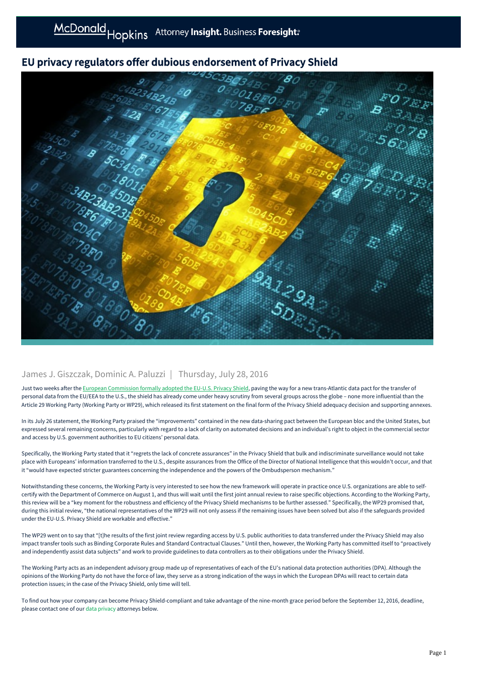## EU privacy regulators offer dubious endorsement of Privacy Shield



## James J. Giszczak, Dominic A. Paluzzi | Thursday, July 28, 2016

Just two weeks after the [European Commission formally adopted the EU-U.S. Privacy Shield,](https://mcdonaldhopkins.com/link.aspx?_id=32D3B6E4DE2B4A0882591A70D2FE3764&_z=z) paving the way for a new trans-Atlantic data pact for the transfer of personal data from the EU/EEA to the U.S., the shield has already come under heavy scrutiny from several groups across the globe – none more influential than the Article 29 Working Party (Working Party or WP29), which released its first statement on the final form of the Privacy Shield adequacy decision and supporting annexes.

In its July 26 statement, the Working Party praised the "improvements" contained in the new data-sharing pact between the European bloc and the United States, but expressed several remaining concerns, particularly with regard to a lack of clarity on automated decisions and an individual's right to object in the commercial sector and access by U.S. government authorities to EU citizens' personal data.

Specifically, the Working Party stated that it "regrets the lack of concrete assurances" in the Privacy Shield that bulk and indiscriminate surveillance would not take place with Europeans' information transferred to the U.S., despite assurances from the Office of the Director of National Intelligence that this wouldn't occur, and that it "would have expected stricter guarantees concerning the independence and the powers of the Ombudsperson mechanism."

Notwithstanding these concerns, the Working Party is very interested to see how the new framework will operate in practice once U.S. organizations are able to selfcertify with the Department of Commerce on August 1, and thus will wait until the first joint annual review to raise specific objections. According to the Working Party, this review will be a "key moment for the robustness and efficiency of the Privacy Shield mechanisms to be further assessed." Specifically, the WP29 promised that, during this initial review, "the national representatives of the WP29 will not only assess if the remaining issues have been solved but also if the safeguards provided under the EU-U.S. Privacy Shield are workable and effective."

The WP29 went on to say that "[t]he results of the first joint review regarding access by U.S. public authorities to data transferred under the Privacy Shield may also impact transfer tools such as Binding Corporate Rules and Standard Contractual Clauses." Until then, however, the Working Party has committed itself to "proactively and independently assist data subjects" and work to provide guidelines to data controllers as to their obligations under the Privacy Shield.

The Working Party acts as an independent advisory group made up of representatives of each of the EU's national data protection authorities (DPA). Although the opinions of the Working Party do not have the force of law, they serve as a strong indication of the ways in which the European DPAs will react to certain data protection issues; in the case of the Privacy Shield, only time will tell.

To find out how your company can become Privacy Shield-compliant and take advantage of the nine-month grace period before the September 12, 2016, deadline, please contact one of our [data privacy](https://mcdonaldhopkins.com/link.aspx?_id=DD3F0B8A363A44B7A6F39835CB908E7F&_z=z) attorneys below.